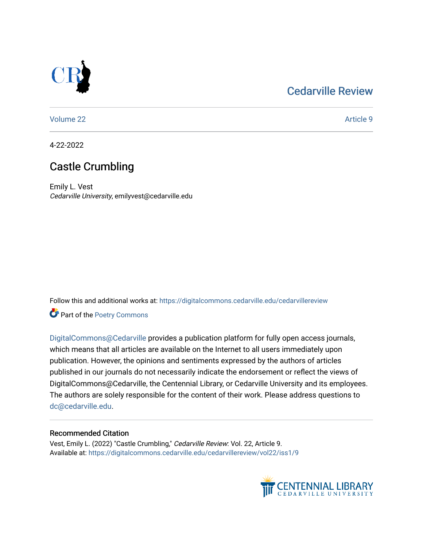## [Cedarville Review](https://digitalcommons.cedarville.edu/cedarvillereview)



[Volume 22](https://digitalcommons.cedarville.edu/cedarvillereview/vol22) Article 9

4-22-2022

# Castle Crumbling

Emily L. Vest Cedarville University, emilyvest@cedarville.edu

Follow this and additional works at: [https://digitalcommons.cedarville.edu/cedarvillereview](https://digitalcommons.cedarville.edu/cedarvillereview?utm_source=digitalcommons.cedarville.edu%2Fcedarvillereview%2Fvol22%2Fiss1%2F9&utm_medium=PDF&utm_campaign=PDFCoverPages) 

Part of the [Poetry Commons](http://network.bepress.com/hgg/discipline/1153?utm_source=digitalcommons.cedarville.edu%2Fcedarvillereview%2Fvol22%2Fiss1%2F9&utm_medium=PDF&utm_campaign=PDFCoverPages) 

[DigitalCommons@Cedarville](http://digitalcommons.cedarville.edu/) provides a publication platform for fully open access journals, which means that all articles are available on the Internet to all users immediately upon publication. However, the opinions and sentiments expressed by the authors of articles published in our journals do not necessarily indicate the endorsement or reflect the views of DigitalCommons@Cedarville, the Centennial Library, or Cedarville University and its employees. The authors are solely responsible for the content of their work. Please address questions to [dc@cedarville.edu.](mailto:dc@cedarville.edu)

## Recommended Citation

Vest, Emily L. (2022) "Castle Crumbling," Cedarville Review: Vol. 22, Article 9. Available at: [https://digitalcommons.cedarville.edu/cedarvillereview/vol22/iss1/9](https://digitalcommons.cedarville.edu/cedarvillereview/vol22/iss1/9?utm_source=digitalcommons.cedarville.edu%2Fcedarvillereview%2Fvol22%2Fiss1%2F9&utm_medium=PDF&utm_campaign=PDFCoverPages) 

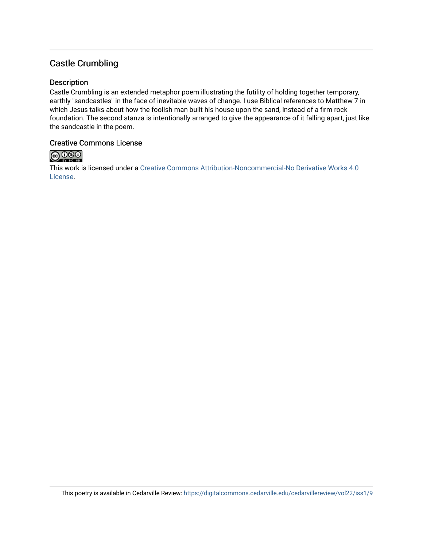## Castle Crumbling

#### Description

Castle Crumbling is an extended metaphor poem illustrating the futility of holding together temporary, earthly "sandcastles" in the face of inevitable waves of change. I use Biblical references to Matthew 7 in which Jesus talks about how the foolish man built his house upon the sand, instead of a firm rock foundation. The second stanza is intentionally arranged to give the appearance of it falling apart, just like the sandcastle in the poem.

## Creative Commons License



This work is licensed under a [Creative Commons Attribution-Noncommercial-No Derivative Works 4.0](http://creativecommons.org/licenses/by-nc-nd/4.0/) [License](http://creativecommons.org/licenses/by-nc-nd/4.0/).